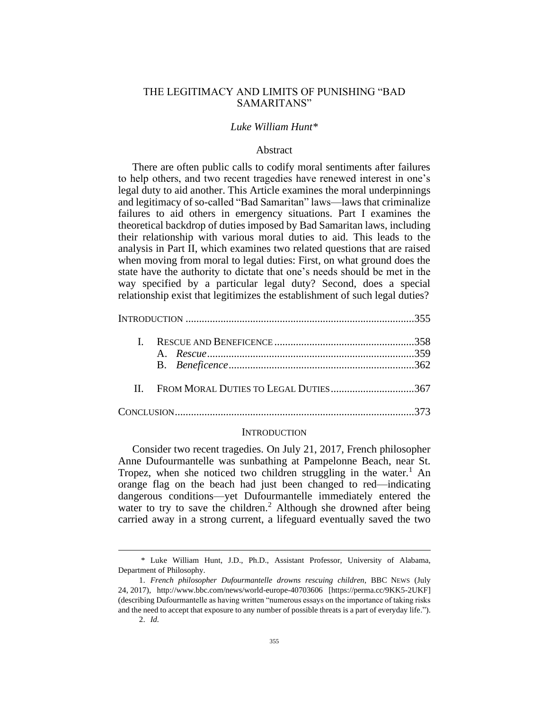# THE LEGITIMACY AND LIMITS OF PUNISHING "BAD SAMARITANS"

### *Luke William Hunt\**

### Abstract

There are often public calls to codify moral sentiments after failures to help others, and two recent tragedies have renewed interest in one's legal duty to aid another. This Article examines the moral underpinnings and legitimacy of so-called "Bad Samaritan" laws—laws that criminalize failures to aid others in emergency situations. Part I examines the theoretical backdrop of duties imposed by Bad Samaritan laws, including their relationship with various moral duties to aid. This leads to the analysis in Part II, which examines two related questions that are raised when moving from moral to legal duties: First, on what ground does the state have the authority to dictate that one's needs should be met in the way specified by a particular legal duty? Second, does a special relationship exist that legitimizes the establishment of such legal duties?

| II. FROM MORAL DUTIES TO LEGAL DUTIES367 |  |
|------------------------------------------|--|
|                                          |  |

#### **INTRODUCTION**

Consider two recent tragedies. On July 21, 2017, French philosopher Anne Dufourmantelle was sunbathing at Pampelonne Beach, near St. Tropez, when she noticed two children struggling in the water.<sup>1</sup> An orange flag on the beach had just been changed to red—indicating dangerous conditions—yet Dufourmantelle immediately entered the water to try to save the children.<sup>2</sup> Although she drowned after being carried away in a strong current, a lifeguard eventually saved the two

<sup>\*</sup> Luke William Hunt, J.D., Ph.D., Assistant Professor, University of Alabama, Department of Philosophy.

<sup>1.</sup> *French philosopher Dufourmantelle drowns rescuing children*, BBC NEWS (July 24, 2017), http://www.bbc.com/news/world-europe-40703606 [https://perma.cc/9KK5-2UKF] (describing Dufourmantelle as having written "numerous essays on the importance of taking risks and the need to accept that exposure to any number of possible threats is a part of everyday life.").

<sup>2.</sup> *Id.*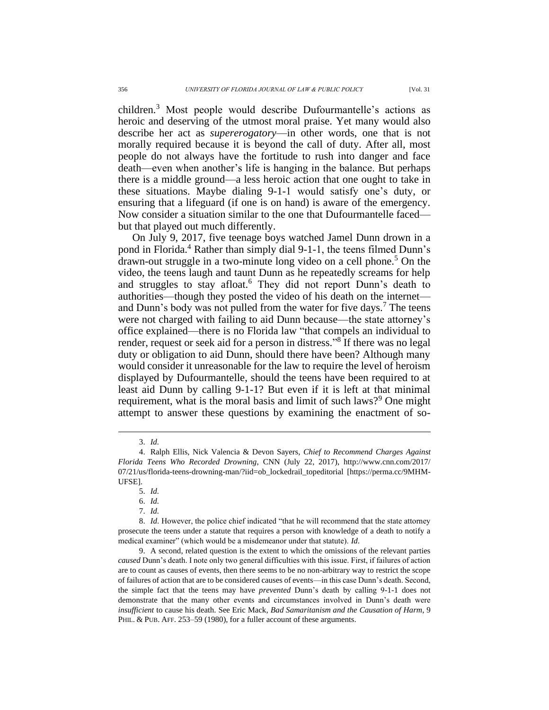children. <sup>3</sup> Most people would describe Dufourmantelle's actions as heroic and deserving of the utmost moral praise. Yet many would also describe her act as *supererogatory*—in other words, one that is not morally required because it is beyond the call of duty. After all, most people do not always have the fortitude to rush into danger and face death—even when another's life is hanging in the balance. But perhaps there is a middle ground—a less heroic action that one ought to take in these situations. Maybe dialing 9-1-1 would satisfy one's duty, or ensuring that a lifeguard (if one is on hand) is aware of the emergency. Now consider a situation similar to the one that Dufourmantelle faced but that played out much differently.

On July 9, 2017, five teenage boys watched Jamel Dunn drown in a pond in Florida.<sup>4</sup> Rather than simply dial 9-1-1, the teens filmed Dunn's drawn-out struggle in a two-minute long video on a cell phone.<sup>5</sup> On the video, the teens laugh and taunt Dunn as he repeatedly screams for help and struggles to stay afloat.<sup>6</sup> They did not report Dunn's death to authorities—though they posted the video of his death on the internet and Dunn's body was not pulled from the water for five days.<sup>7</sup> The teens were not charged with failing to aid Dunn because—the state attorney's office explained—there is no Florida law "that compels an individual to render, request or seek aid for a person in distress."<sup>8</sup> If there was no legal duty or obligation to aid Dunn, should there have been? Although many would consider it unreasonable for the law to require the level of heroism displayed by Dufourmantelle, should the teens have been required to at least aid Dunn by calling 9-1-1? But even if it is left at that minimal requirement, what is the moral basis and limit of such laws?<sup>9</sup> One might attempt to answer these questions by examining the enactment of so-

<sup>3.</sup> *Id.*

<sup>4.</sup> Ralph Ellis, Nick Valencia & Devon Sayers, *Chief to Recommend Charges Against Florida Teens Who Recorded Drowning*, CNN (July 22, 2017), http://www.cnn.com/2017/ 07/21/us/florida-teens-drowning-man/?iid=ob\_lockedrail\_topeditorial [https://perma.cc/9MHM-UFSE].

<sup>5.</sup> *Id.*

<sup>6.</sup> *Id.*

<sup>7.</sup> *Id.*

<sup>8.</sup> *Id*. However, the police chief indicated "that he will recommend that the state attorney prosecute the teens under a statute that requires a person with knowledge of a death to notify a medical examiner" (which would be a misdemeanor under that statute). *Id*.

<sup>9.</sup> A second, related question is the extent to which the omissions of the relevant parties *caused* Dunn's death. I note only two general difficulties with this issue. First, if failures of action are to count as causes of events, then there seems to be no non-arbitrary way to restrict the scope of failures of action that are to be considered causes of events—in this case Dunn's death. Second, the simple fact that the teens may have *prevented* Dunn's death by calling 9-1-1 does not demonstrate that the many other events and circumstances involved in Dunn's death were *insufficient* to cause his death. See Eric Mack, *Bad Samaritanism and the Causation of Harm*, 9 PHIL. & PUB. AFF. 253–59 (1980), for a fuller account of these arguments.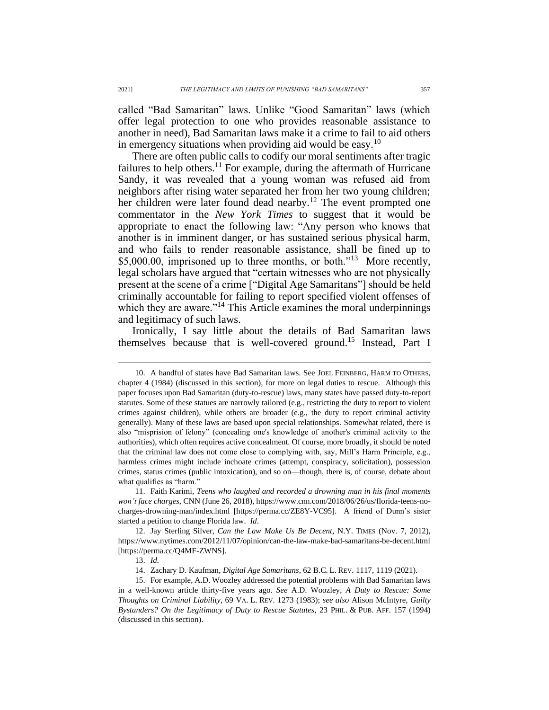called "Bad Samaritan" laws. Unlike "Good Samaritan" laws (which offer legal protection to one who provides reasonable assistance to another in need), Bad Samaritan laws make it a crime to fail to aid others in emergency situations when providing aid would be easy.<sup>10</sup>

<span id="page-2-1"></span><span id="page-2-0"></span>There are often public calls to codify our moral sentiments after tragic failures to help others.<sup>11</sup> For example, during the aftermath of Hurricane Sandy, it was revealed that a young woman was refused aid from neighbors after rising water separated her from her two young children; her children were later found dead nearby.<sup>12</sup> The event prompted one commentator in the *New York Times* to suggest that it would be appropriate to enact the following law: "Any person who knows that another is in imminent danger, or has sustained serious physical harm, and who fails to render reasonable assistance, shall be fined up to \$5,000.00, imprisoned up to three months, or both."<sup>13</sup> More recently, legal scholars have argued that "certain witnesses who are not physically present at the scene of a crime ["Digital Age Samaritans"] should be held criminally accountable for failing to report specified violent offenses of which they are aware."<sup>14</sup> This Article examines the moral underpinnings and legitimacy of such laws.

Ironically, I say little about the details of Bad Samaritan laws themselves because that is well-covered ground.<sup>15</sup> Instead, Part I

<sup>10.</sup> A handful of states have Bad Samaritan laws. See JOEL FEINBERG, HARM TO OTHERS, chapter 4 (1984) (discussed in this section), for more on legal duties to rescue. Although this paper focuses upon Bad Samaritan (duty-to-rescue) laws, many states have passed duty-to-report statutes. Some of these statues are narrowly tailored (e.g., restricting the duty to report to violent crimes against children), while others are broader (e.g., the duty to report criminal activity generally). Many of these laws are based upon special relationships. Somewhat related, there is also "misprision of felony" (concealing one's knowledge of another's criminal activity to the authorities), which often requires active concealment. Of course, more broadly, it should be noted that the criminal law does not come close to complying with, say, Mill's Harm Principle, e.g., harmless crimes might include inchoate crimes (attempt, conspiracy, solicitation), possession crimes, status crimes (public intoxication), and so on—though, there is, of course, debate about what qualifies as "harm."

<sup>11.</sup> Faith Karimi, *Teens who laughed and recorded a drowning man in his final moments won't face charges*, CNN (June 26, 2018), https://www.cnn.com/2018/06/26/us/florida-teens-nocharges-drowning-man/index.html [https://perma.cc/ZE8Y-VC95]. A friend of Dunn's sister started a petition to change Florida law. *Id*.

<sup>12.</sup> Jay Sterling Silver, *Can the Law Make Us Be Decent*, N.Y. TIMES (Nov. 7, 2012), https://www.nytimes.com/2012/11/07/opinion/can-the-law-make-bad-samaritans-be-decent.html [https://perma.cc/Q4MF-ZWNS].

<sup>13.</sup> *Id.*

<sup>14.</sup> Zachary D. Kaufman, *Digital Age Samaritans*, 62 B.C. L. REV. 1117, 1119 (2021).

<sup>15.</sup> For example, A.D. Woozley addressed the potential problems with Bad Samaritan laws in a well-known article thirty-five years ago. *See* A.D. Woozley, *A Duty to Rescue: Some Thoughts on Criminal Liability*, 69 VA. L. REV. 1273 (1983); *see also* Alison McIntyre, *Guilty Bystanders? On the Legitimacy of Duty to Rescue Statutes*, 23 PHIL. & PUB. AFF. 157 (1994) (discussed in this section).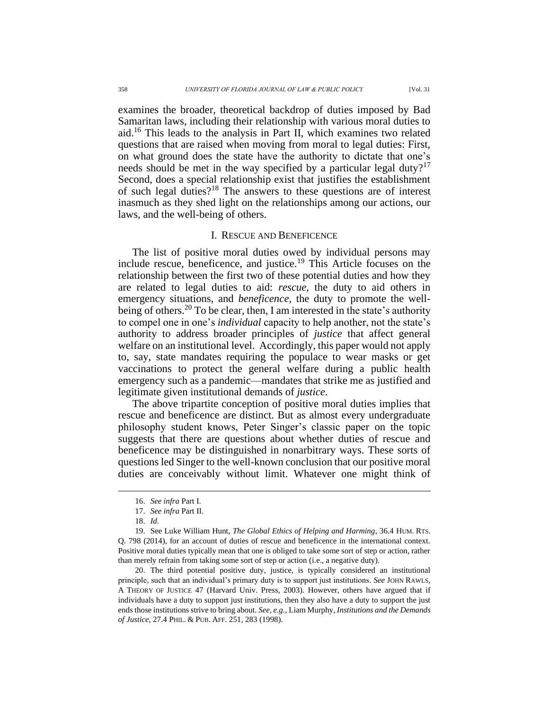examines the broader, theoretical backdrop of duties imposed by Bad Samaritan laws, including their relationship with various moral duties to aid.<sup>16</sup> This leads to the analysis in Part II, which examines two related questions that are raised when moving from moral to legal duties: First, on what ground does the state have the authority to dictate that one's needs should be met in the way specified by a particular legal duty?<sup>17</sup> Second, does a special relationship exist that justifies the establishment of such legal duties?<sup>18</sup> The answers to these questions are of interest inasmuch as they shed light on the relationships among our actions, our laws, and the well-being of others.

### <span id="page-3-0"></span>I. RESCUE AND BENEFICENCE

The list of positive moral duties owed by individual persons may include rescue, beneficence, and justice.<sup>19</sup> This Article focuses on the relationship between the first two of these potential duties and how they are related to legal duties to aid: *rescue*, the duty to aid others in emergency situations, and *beneficence*, the duty to promote the wellbeing of others.<sup>20</sup> To be clear, then, I am interested in the state's authority to compel one in one's *individual* capacity to help another, not the state's authority to address broader principles of *justice* that affect general welfare on an institutional level. Accordingly, this paper would not apply to, say, state mandates requiring the populace to wear masks or get vaccinations to protect the general welfare during a public health emergency such as a pandemic—mandates that strike me as justified and legitimate given institutional demands of *justice*.

The above tripartite conception of positive moral duties implies that rescue and beneficence are distinct. But as almost every undergraduate philosophy student knows, Peter Singer's classic paper on the topic suggests that there are questions about whether duties of rescue and beneficence may be distinguished in nonarbitrary ways. These sorts of questions led Singer to the well-known conclusion that our positive moral duties are conceivably without limit. Whatever one might think of

<sup>16.</sup> *See infra* Part I.

<sup>17.</sup> *See infra* Part II.

<sup>18.</sup> *Id.*

<sup>19.</sup> See Luke William Hunt, *The Global Ethics of Helping and Harming*, 36.4 HUM. RTS. Q. 798 (2014), for an account of duties of rescue and beneficence in the international context. Positive moral duties typically mean that one is obliged to take some sort of step or action, rather than merely refrain from taking some sort of step or action (i.e., a negative duty).

<sup>20.</sup> The third potential positive duty, justice, is typically considered an institutional principle, such that an individual's primary duty is to support just institutions. *See* JOHN RAWLS, A THEORY OF JUSTICE 47 (Harvard Univ. Press, 2003). However, others have argued that if individuals have a duty to support just institutions, then they also have a duty to support the just ends those institutions strive to bring about*. See, e.g.*, Liam Murphy, *Institutions and the Demands of Justice*, 27.4 PHIL. & PUB. AFF. 251, 283 (1998).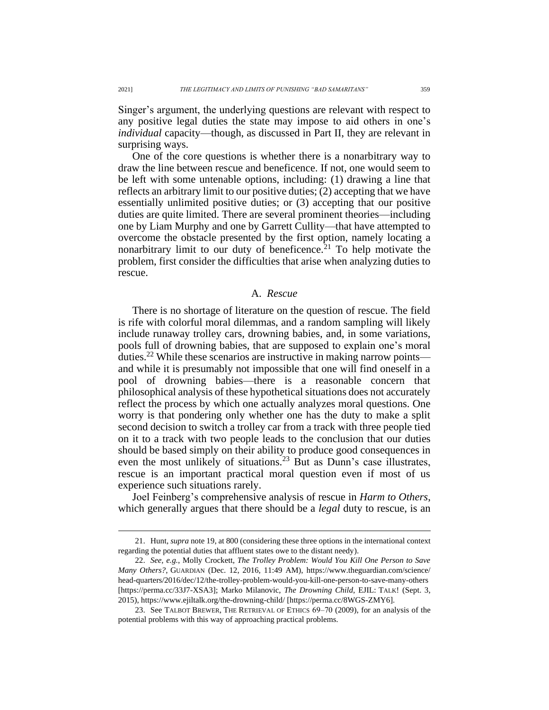Singer's argument, the underlying questions are relevant with respect to any positive legal duties the state may impose to aid others in one's *individual* capacity—though, as discussed in Part II, they are relevant in surprising ways.

One of the core questions is whether there is a nonarbitrary way to draw the line between rescue and beneficence. If not, one would seem to be left with some untenable options, including: (1) drawing a line that reflects an arbitrary limit to our positive duties; (2) accepting that we have essentially unlimited positive duties; or (3) accepting that our positive duties are quite limited. There are several prominent theories—including one by Liam Murphy and one by Garrett Cullity—that have attempted to overcome the obstacle presented by the first option, namely locating a nonarbitrary limit to our duty of beneficence.<sup>21</sup> To help motivate the problem, first consider the difficulties that arise when analyzing duties to rescue.

# A. *Rescue*

There is no shortage of literature on the question of rescue. The field is rife with colorful moral dilemmas, and a random sampling will likely include runaway trolley cars, drowning babies, and, in some variations, pools full of drowning babies, that are supposed to explain one's moral duties.<sup>22</sup> While these scenarios are instructive in making narrow points and while it is presumably not impossible that one will find oneself in a pool of drowning babies—there is a reasonable concern that philosophical analysis of these hypothetical situations does not accurately reflect the process by which one actually analyzes moral questions. One worry is that pondering only whether one has the duty to make a split second decision to switch a trolley car from a track with three people tied on it to a track with two people leads to the conclusion that our duties should be based simply on their ability to produce good consequences in even the most unlikely of situations.<sup>23</sup> But as Dunn's case illustrates, rescue is an important practical moral question even if most of us experience such situations rarely.

Joel Feinberg's comprehensive analysis of rescue in *Harm to Others*, which generally argues that there should be a *legal* duty to rescue, is an

<sup>21.</sup> Hunt, *supra* note [19,](#page-3-0) at 800 (considering these three options in the international context regarding the potential duties that affluent states owe to the distant needy).

<sup>22.</sup> *See, e.g.*, Molly Crockett, *The Trolley Problem: Would You Kill One Person to Save Many Others?*, GUARDIAN (Dec. 12, 2016, 11:49 AM), https://www.theguardian.com/science/ head-quarters/2016/dec/12/the-trolley-problem-would-you-kill-one-person-to-save-many-others [https://perma.cc/33J7-XSA3]; Marko Milanovic, *The Drowning Child*, EJIL: TALK! (Sept. 3, 2015), https://www.ejiltalk.org/the-drowning-child/ [https://perma.cc/8WGS-ZMY6].

<sup>23.</sup> See TALBOT BREWER, THE RETRIEVAL OF ETHICS 69-70 (2009), for an analysis of the potential problems with this way of approaching practical problems.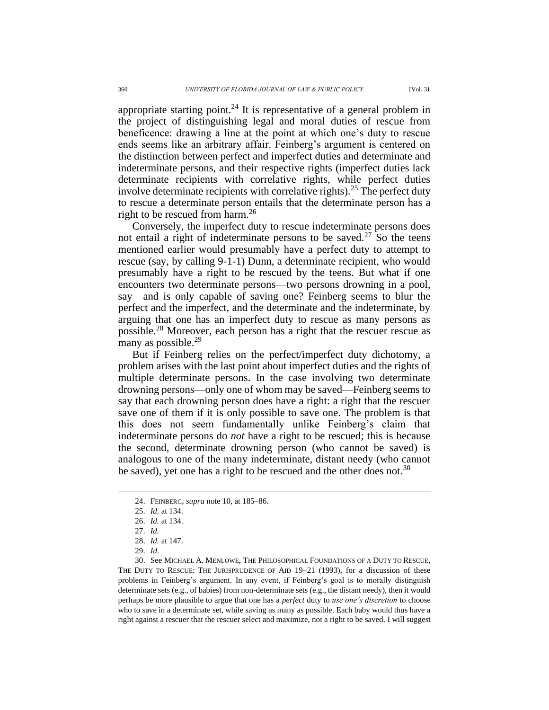appropriate starting point.<sup>24</sup> It is representative of a general problem in the project of distinguishing legal and moral duties of rescue from beneficence: drawing a line at the point at which one's duty to rescue ends seems like an arbitrary affair. Feinberg's argument is centered on the distinction between perfect and imperfect duties and determinate and indeterminate persons, and their respective rights (imperfect duties lack determinate recipients with correlative rights, while perfect duties involve determinate recipients with correlative rights).<sup>25</sup> The perfect duty to rescue a determinate person entails that the determinate person has a right to be rescued from harm.<sup>26</sup>

Conversely, the imperfect duty to rescue indeterminate persons does not entail a right of indeterminate persons to be saved.<sup>27</sup> So the teens mentioned earlier would presumably have a perfect duty to attempt to rescue (say, by calling 9-1-1) Dunn, a determinate recipient, who would presumably have a right to be rescued by the teens. But what if one encounters two determinate persons—two persons drowning in a pool, say—and is only capable of saving one? Feinberg seems to blur the perfect and the imperfect, and the determinate and the indeterminate, by arguing that one has an imperfect duty to rescue as many persons as possible.<sup>28</sup> Moreover, each person has a right that the rescuer rescue as many as possible.<sup>29</sup>

But if Feinberg relies on the perfect/imperfect duty dichotomy, a problem arises with the last point about imperfect duties and the rights of multiple determinate persons. In the case involving two determinate drowning persons—only one of whom may be saved—Feinberg seems to say that each drowning person does have a right: a right that the rescuer save one of them if it is only possible to save one. The problem is that this does not seem fundamentally unlike Feinberg's claim that indeterminate persons do *not* have a right to be rescued; this is because the second, determinate drowning person (who cannot be saved) is analogous to one of the many indeterminate, distant needy (who cannot be saved), yet one has a right to be rescued and the other does not.<sup>30</sup>

<sup>24.</sup> FEINBERG, *supra* note [10,](#page-2-0) at 185–86.

<sup>25.</sup> *Id.* at 134.

<sup>26.</sup> *Id.* at 134.

<sup>27.</sup> *Id.*

<sup>28.</sup> *Id.* at 147.

<sup>29.</sup> *Id*.

<sup>30.</sup> See MICHAEL A. MENLOWE, THE PHILOSOPHICAL FOUNDATIONS OF A DUTY TO RESCUE, THE DUTY TO RESCUE: THE JURISPRUDENCE OF AID 19–21 (1993), for a discussion of these problems in Feinberg's argument. In any event, if Feinberg's goal is to morally distinguish determinate sets (e.g., of babies) from non-determinate sets (e.g., the distant needy), then it would perhaps be more plausible to argue that one has a *perfect* duty to *use one's discretion* to choose who to save in a determinate set, while saving as many as possible. Each baby would thus have a right against a rescuer that the rescuer select and maximize, not a right to be saved. I will suggest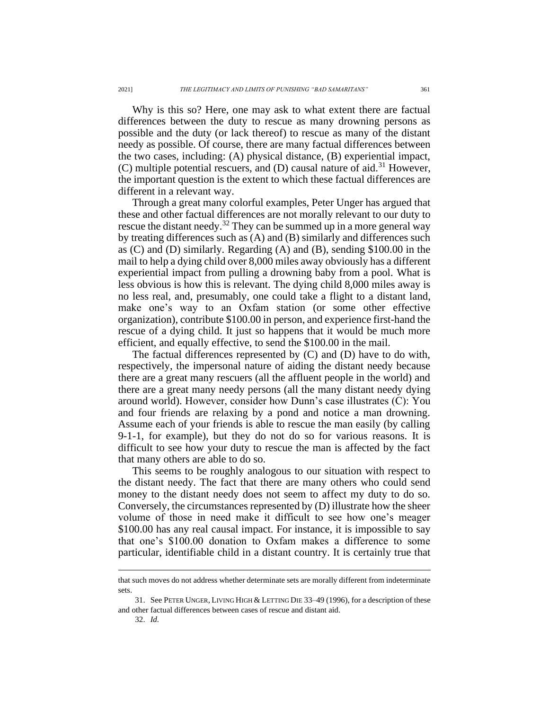Why is this so? Here, one may ask to what extent there are factual differences between the duty to rescue as many drowning persons as possible and the duty (or lack thereof) to rescue as many of the distant needy as possible. Of course, there are many factual differences between the two cases, including: (A) physical distance, (B) experiential impact, (C) multiple potential rescuers, and (D) causal nature of aid.<sup>31</sup> However, the important question is the extent to which these factual differences are different in a relevant way.

Through a great many colorful examples, Peter Unger has argued that these and other factual differences are not morally relevant to our duty to rescue the distant needy.<sup>32</sup> They can be summed up in a more general way by treating differences such as (A) and (B) similarly and differences such as (C) and (D) similarly. Regarding (A) and (B), sending \$100.00 in the mail to help a dying child over 8,000 miles away obviously has a different experiential impact from pulling a drowning baby from a pool. What is less obvious is how this is relevant. The dying child 8,000 miles away is no less real, and, presumably, one could take a flight to a distant land, make one's way to an Oxfam station (or some other effective organization), contribute \$100.00 in person, and experience first-hand the rescue of a dying child. It just so happens that it would be much more efficient, and equally effective, to send the \$100.00 in the mail.

The factual differences represented by (C) and (D) have to do with, respectively, the impersonal nature of aiding the distant needy because there are a great many rescuers (all the affluent people in the world) and there are a great many needy persons (all the many distant needy dying around world). However, consider how Dunn's case illustrates (C): You and four friends are relaxing by a pond and notice a man drowning. Assume each of your friends is able to rescue the man easily (by calling 9-1-1, for example), but they do not do so for various reasons. It is difficult to see how your duty to rescue the man is affected by the fact that many others are able to do so.

This seems to be roughly analogous to our situation with respect to the distant needy. The fact that there are many others who could send money to the distant needy does not seem to affect my duty to do so. Conversely, the circumstances represented by (D) illustrate how the sheer volume of those in need make it difficult to see how one's meager \$100.00 has any real causal impact. For instance, it is impossible to say that one's \$100.00 donation to Oxfam makes a difference to some particular, identifiable child in a distant country. It is certainly true that

that such moves do not address whether determinate sets are morally different from indeterminate sets.

<sup>31.</sup> See PETER UNGER, LIVING HIGH & LETTING DIE 33–49 (1996), for a description of these and other factual differences between cases of rescue and distant aid.

<sup>32.</sup> *Id.*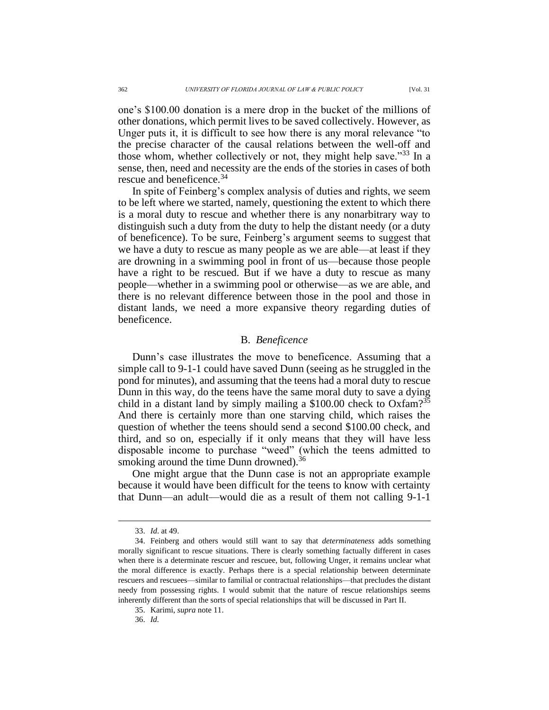one's \$100.00 donation is a mere drop in the bucket of the millions of other donations, which permit lives to be saved collectively. However, as Unger puts it, it is difficult to see how there is any moral relevance "to the precise character of the causal relations between the well-off and those whom, whether collectively or not, they might help save."<sup>33</sup> In a sense, then, need and necessity are the ends of the stories in cases of both rescue and beneficence.<sup>34</sup>

In spite of Feinberg's complex analysis of duties and rights, we seem to be left where we started, namely, questioning the extent to which there is a moral duty to rescue and whether there is any nonarbitrary way to distinguish such a duty from the duty to help the distant needy (or a duty of beneficence). To be sure, Feinberg's argument seems to suggest that we have a duty to rescue as many people as we are able—at least if they are drowning in a swimming pool in front of us—because those people have a right to be rescued. But if we have a duty to rescue as many people—whether in a swimming pool or otherwise—as we are able, and there is no relevant difference between those in the pool and those in distant lands, we need a more expansive theory regarding duties of beneficence.

# B. *Beneficence*

Dunn's case illustrates the move to beneficence. Assuming that a simple call to 9-1-1 could have saved Dunn (seeing as he struggled in the pond for minutes), and assuming that the teens had a moral duty to rescue Dunn in this way, do the teens have the same moral duty to save a dying child in a distant land by simply mailing a \$100.00 check to Oxfam?<sup>35</sup> And there is certainly more than one starving child, which raises the question of whether the teens should send a second \$100.00 check, and third, and so on, especially if it only means that they will have less disposable income to purchase "weed" (which the teens admitted to smoking around the time Dunn drowned).<sup>36</sup>

One might argue that the Dunn case is not an appropriate example because it would have been difficult for the teens to know with certainty that Dunn—an adult—would die as a result of them not calling 9-1-1

36. *Id.*

<sup>33.</sup> *Id*. at 49.

<sup>34.</sup> Feinberg and others would still want to say that *determinateness* adds something morally significant to rescue situations. There is clearly something factually different in cases when there is a determinate rescuer and rescuee, but, following Unger, it remains unclear what the moral difference is exactly. Perhaps there is a special relationship between determinate rescuers and rescuees—similar to familial or contractual relationships—that precludes the distant needy from possessing rights. I would submit that the nature of rescue relationships seems inherently different than the sorts of special relationships that will be discussed in Part II.

<sup>35.</sup> Karimi, *supra* not[e 11.](#page-2-1)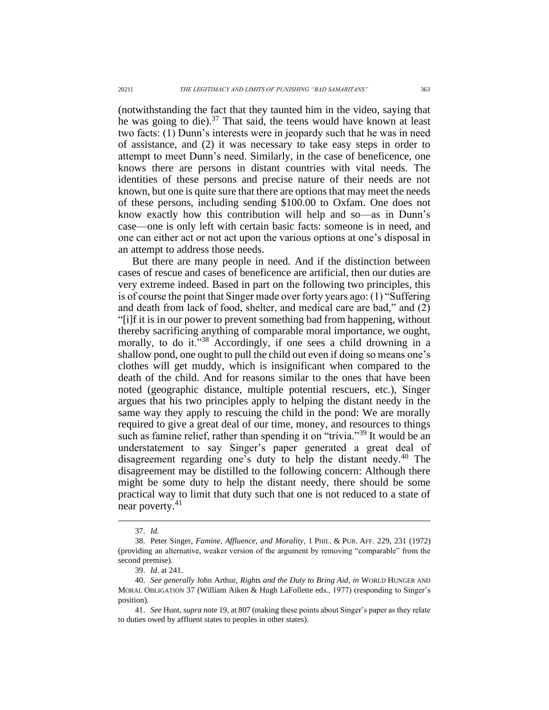(notwithstanding the fact that they taunted him in the video, saying that he was going to die). $37$  That said, the teens would have known at least two facts: (1) Dunn's interests were in jeopardy such that he was in need of assistance, and (2) it was necessary to take easy steps in order to attempt to meet Dunn's need. Similarly, in the case of beneficence, one knows there are persons in distant countries with vital needs. The identities of these persons and precise nature of their needs are not known, but one is quite sure that there are options that may meet the needs of these persons, including sending \$100.00 to Oxfam. One does not know exactly how this contribution will help and so—as in Dunn's case—one is only left with certain basic facts: someone is in need, and one can either act or not act upon the various options at one's disposal in an attempt to address those needs.

But there are many people in need. And if the distinction between cases of rescue and cases of beneficence are artificial, then our duties are very extreme indeed. Based in part on the following two principles, this is of course the point that Singer made over forty years ago: (1) "Suffering and death from lack of food, shelter, and medical care are bad," and (2) "[i]f it is in our power to prevent something bad from happening, without thereby sacrificing anything of comparable moral importance, we ought, morally, to do it."<sup>38</sup> Accordingly, if one sees a child drowning in a shallow pond, one ought to pull the child out even if doing so means one's clothes will get muddy, which is insignificant when compared to the death of the child. And for reasons similar to the ones that have been noted (geographic distance, multiple potential rescuers, etc.), Singer argues that his two principles apply to helping the distant needy in the same way they apply to rescuing the child in the pond: We are morally required to give a great deal of our time, money, and resources to things such as famine relief, rather than spending it on "trivia."<sup>39</sup> It would be an understatement to say Singer's paper generated a great deal of disagreement regarding one's duty to help the distant needy.<sup>40</sup> The disagreement may be distilled to the following concern: Although there might be some duty to help the distant needy, there should be some practical way to limit that duty such that one is not reduced to a state of near poverty.<sup>41</sup>

<sup>37.</sup> *Id.*

<sup>38.</sup> Peter Singer, *Famine, Affluence, and Morality*, 1 PHIL. & PUB. AFF. 229, 231 (1972) (providing an alternative, weaker version of the argument by removing "comparable" from the second premise).

<sup>39.</sup> *Id*. at 241.

<sup>40.</sup> *See generally* John Arthur, *Rights and the Duty to Bring Aid*, *in* WORLD HUNGER AND MORAL OBLIGATION 37 (William Aiken & Hugh LaFollette eds., 1977) (responding to Singer's position).

<sup>41.</sup> *See* Hunt, *supra* note 19, at 807 (making these points about Singer's paper as they relate to duties owed by affluent states to peoples in other states).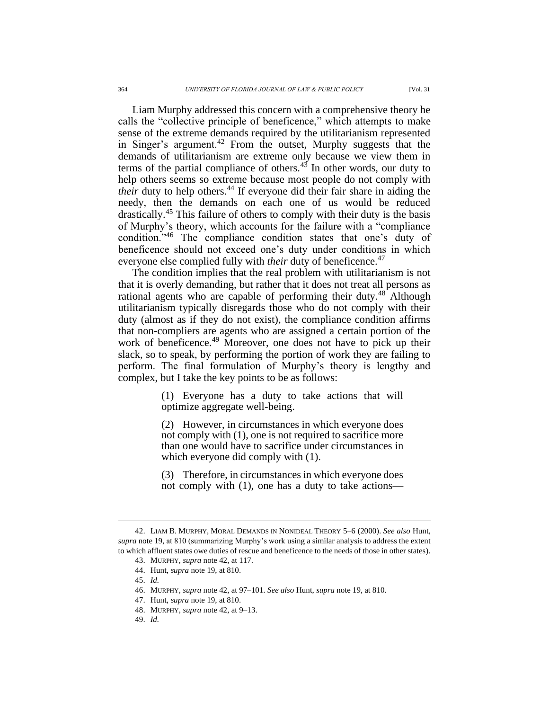<span id="page-9-0"></span>Liam Murphy addressed this concern with a comprehensive theory he calls the "collective principle of beneficence," which attempts to make sense of the extreme demands required by the utilitarianism represented in Singer's argument.<sup>42</sup> From the outset, Murphy suggests that the demands of utilitarianism are extreme only because we view them in terms of the partial compliance of others.<sup>43</sup> In other words, our duty to help others seems so extreme because most people do not comply with *their* duty to help others.<sup>44</sup> If everyone did their fair share in aiding the needy, then the demands on each one of us would be reduced drastically.<sup>45</sup> This failure of others to comply with their duty is the basis of Murphy's theory, which accounts for the failure with a "compliance condition."<sup>46</sup> The compliance condition states that one's duty of beneficence should not exceed one's duty under conditions in which everyone else complied fully with *their* duty of beneficence.<sup>47</sup>

The condition implies that the real problem with utilitarianism is not that it is overly demanding, but rather that it does not treat all persons as rational agents who are capable of performing their duty.<sup>48</sup> Although utilitarianism typically disregards those who do not comply with their duty (almost as if they do not exist), the compliance condition affirms that non-compliers are agents who are assigned a certain portion of the work of beneficence.<sup>49</sup> Moreover, one does not have to pick up their slack, so to speak, by performing the portion of work they are failing to perform. The final formulation of Murphy's theory is lengthy and complex, but I take the key points to be as follows:

> (1) Everyone has a duty to take actions that will optimize aggregate well-being.

> (2) However, in circumstances in which everyone does not comply with (1), one is not required to sacrifice more than one would have to sacrifice under circumstances in which everyone did comply with (1).

> (3) Therefore, in circumstances in which everyone does not comply with (1), one has a duty to take actions—

<sup>42.</sup> LIAM B. MURPHY, MORAL DEMANDS IN NONIDEAL THEORY 5–6 (2000). *See also* Hunt, *supra* note 19, at 810 (summarizing Murphy's work using a similar analysis to address the extent to which affluent states owe duties of rescue and beneficence to the needs of those in other states).

<sup>43.</sup> MURPHY, *supra* note 42, at 117.

<sup>44.</sup> Hunt, *supra* note 19, at 810.

<sup>45.</sup> *Id.*

<sup>46.</sup> MURPHY, *supra* note 42, at 97–101. *See also* Hunt, *supra* note 19, at 810.

<sup>47.</sup> Hunt, *supra* note [19,](#page-3-0) at 810.

<sup>48.</sup> MURPHY, *supra* note [42,](#page-9-0) at 9–13.

<sup>49.</sup> *Id.*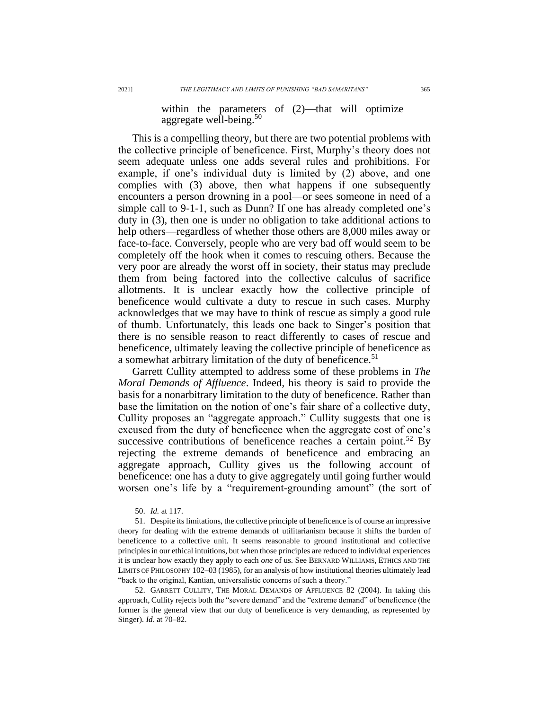within the parameters of  $(2)$ —that will optimize aggregate well-being. $50$ 

This is a compelling theory, but there are two potential problems with the collective principle of beneficence. First, Murphy's theory does not seem adequate unless one adds several rules and prohibitions. For example, if one's individual duty is limited by (2) above, and one complies with (3) above, then what happens if one subsequently encounters a person drowning in a pool—or sees someone in need of a simple call to 9-1-1, such as Dunn? If one has already completed one's duty in (3), then one is under no obligation to take additional actions to help others—regardless of whether those others are 8,000 miles away or face-to-face. Conversely, people who are very bad off would seem to be completely off the hook when it comes to rescuing others. Because the very poor are already the worst off in society, their status may preclude them from being factored into the collective calculus of sacrifice allotments. It is unclear exactly how the collective principle of beneficence would cultivate a duty to rescue in such cases. Murphy acknowledges that we may have to think of rescue as simply a good rule of thumb. Unfortunately, this leads one back to Singer's position that there is no sensible reason to react differently to cases of rescue and beneficence, ultimately leaving the collective principle of beneficence as a somewhat arbitrary limitation of the duty of beneficence.<sup>51</sup>

Garrett Cullity attempted to address some of these problems in *The Moral Demands of Affluence*. Indeed, his theory is said to provide the basis for a nonarbitrary limitation to the duty of beneficence. Rather than base the limitation on the notion of one's fair share of a collective duty, Cullity proposes an "aggregate approach." Cullity suggests that one is excused from the duty of beneficence when the aggregate cost of one's successive contributions of beneficence reaches a certain point.<sup>52</sup> By rejecting the extreme demands of beneficence and embracing an aggregate approach, Cullity gives us the following account of beneficence: one has a duty to give aggregately until going further would worsen one's life by a "requirement-grounding amount" (the sort of

<sup>50.</sup> *Id.* at 117.

<sup>51.</sup> Despite its limitations, the collective principle of beneficence is of course an impressive theory for dealing with the extreme demands of utilitarianism because it shifts the burden of beneficence to a collective unit. It seems reasonable to ground institutional and collective principles in our ethical intuitions, but when those principles are reduced to individual experiences it is unclear how exactly they apply to each *one* of us. See BERNARD WILLIAMS, ETHICS AND THE LIMITS OF PHILOSOPHY 102–03 (1985), for an analysis of how institutional theories ultimately lead "back to the original, Kantian, universalistic concerns of such a theory."

<sup>52.</sup> GARRETT CULLITY, THE MORAL DEMANDS OF AFFLUENCE 82 (2004). In taking this approach, Cullity rejects both the "severe demand" and the "extreme demand" of beneficence (the former is the general view that our duty of beneficence is very demanding, as represented by Singer). *Id*. at 70–82.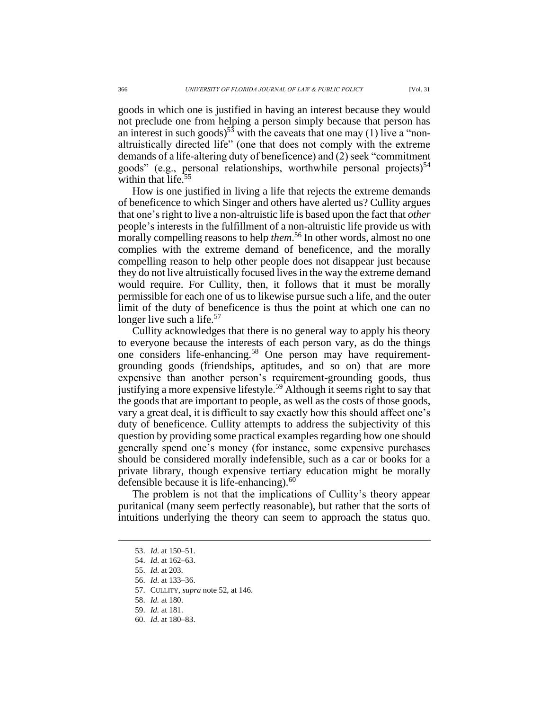goods in which one is justified in having an interest because they would not preclude one from helping a person simply because that person has an interest in such goods)<sup>53</sup> with the caveats that one may (1) live a "nonaltruistically directed life" (one that does not comply with the extreme demands of a life-altering duty of beneficence) and (2) seek "commitment goods" (e.g., personal relationships, worthwhile personal projects)<sup>54</sup> within that life.<sup>55</sup>

How is one justified in living a life that rejects the extreme demands of beneficence to which Singer and others have alerted us? Cullity argues that one's right to live a non-altruistic life is based upon the fact that *other* people's interests in the fulfillment of a non-altruistic life provide us with morally compelling reasons to help *them*.<sup>56</sup> In other words, almost no one complies with the extreme demand of beneficence, and the morally compelling reason to help other people does not disappear just because they do not live altruistically focused livesin the way the extreme demand would require. For Cullity, then, it follows that it must be morally permissible for each one of us to likewise pursue such a life, and the outer limit of the duty of beneficence is thus the point at which one can no longer live such a life.<sup>57</sup>

Cullity acknowledges that there is no general way to apply his theory to everyone because the interests of each person vary, as do the things one considers life-enhancing.<sup>58</sup> One person may have requirementgrounding goods (friendships, aptitudes, and so on) that are more expensive than another person's requirement-grounding goods, thus justifying a more expensive lifestyle.<sup>59</sup> Although it seems right to say that the goods that are important to people, as well as the costs of those goods, vary a great deal, it is difficult to say exactly how this should affect one's duty of beneficence. Cullity attempts to address the subjectivity of this question by providing some practical examples regarding how one should generally spend one's money (for instance, some expensive purchases should be considered morally indefensible, such as a car or books for a private library, though expensive tertiary education might be morally defensible because it is life-enhancing). $60$ 

The problem is not that the implications of Cullity's theory appear puritanical (many seem perfectly reasonable), but rather that the sorts of intuitions underlying the theory can seem to approach the status quo.

<sup>53.</sup> *Id*. at 150–51.

<sup>54.</sup> *Id*. at 162–63.

<sup>55.</sup> *Id*. at 203.

<sup>56.</sup> *Id*. at 133–36.

<sup>57.</sup> CULLITY, *supra* note 52, at 146.

<sup>58.</sup> *Id.* at 180.

<sup>59.</sup> *Id.* at 181.

<sup>60.</sup> *Id*. at 180–83.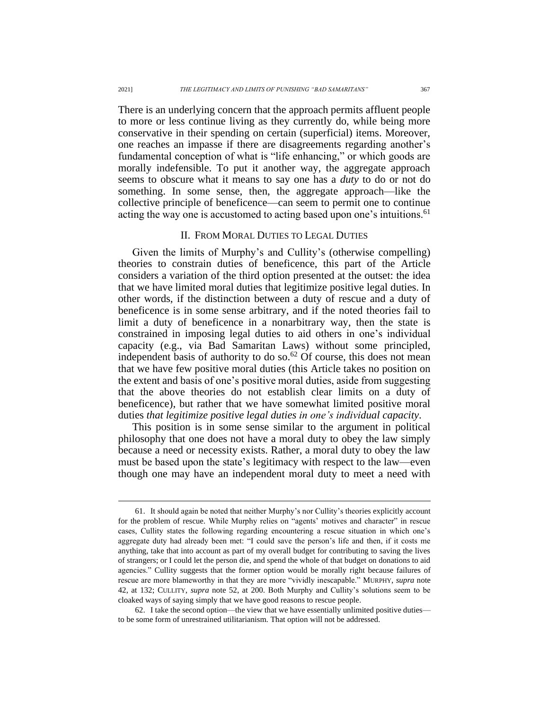There is an underlying concern that the approach permits affluent people to more or less continue living as they currently do, while being more conservative in their spending on certain (superficial) items. Moreover, one reaches an impasse if there are disagreements regarding another's fundamental conception of what is "life enhancing," or which goods are morally indefensible. To put it another way, the aggregate approach seems to obscure what it means to say one has a *duty* to do or not do something. In some sense, then, the aggregate approach—like the collective principle of beneficence—can seem to permit one to continue acting the way one is accustomed to acting based upon one's intuitions.<sup>61</sup>

#### II. FROM MORAL DUTIES TO LEGAL DUTIES

Given the limits of Murphy's and Cullity's (otherwise compelling) theories to constrain duties of beneficence, this part of the Article considers a variation of the third option presented at the outset: the idea that we have limited moral duties that legitimize positive legal duties. In other words, if the distinction between a duty of rescue and a duty of beneficence is in some sense arbitrary, and if the noted theories fail to limit a duty of beneficence in a nonarbitrary way, then the state is constrained in imposing legal duties to aid others in one's individual capacity (e.g., via Bad Samaritan Laws) without some principled, independent basis of authority to do so.<sup>62</sup> Of course, this does not mean that we have few positive moral duties (this Article takes no position on the extent and basis of one's positive moral duties, aside from suggesting that the above theories do not establish clear limits on a duty of beneficence), but rather that we have somewhat limited positive moral duties *that legitimize positive legal duties in one's individual capacity*.

This position is in some sense similar to the argument in political philosophy that one does not have a moral duty to obey the law simply because a need or necessity exists. Rather, a moral duty to obey the law must be based upon the state's legitimacy with respect to the law—even though one may have an independent moral duty to meet a need with

<sup>61.</sup> It should again be noted that neither Murphy's nor Cullity's theories explicitly account for the problem of rescue. While Murphy relies on "agents' motives and character" in rescue cases, Cullity states the following regarding encountering a rescue situation in which one's aggregate duty had already been met: "I could save the person's life and then, if it costs me anything, take that into account as part of my overall budget for contributing to saving the lives of strangers; or I could let the person die, and spend the whole of that budget on donations to aid agencies." Cullity suggests that the former option would be morally right because failures of rescue are more blameworthy in that they are more "vividly inescapable." MURPHY, *supra* note 42, at 132; CULLITY, *supra* note 52, at 200. Both Murphy and Cullity's solutions seem to be cloaked ways of saying simply that we have good reasons to rescue people.

<sup>62.</sup> I take the second option—the view that we have essentially unlimited positive duties to be some form of unrestrained utilitarianism. That option will not be addressed.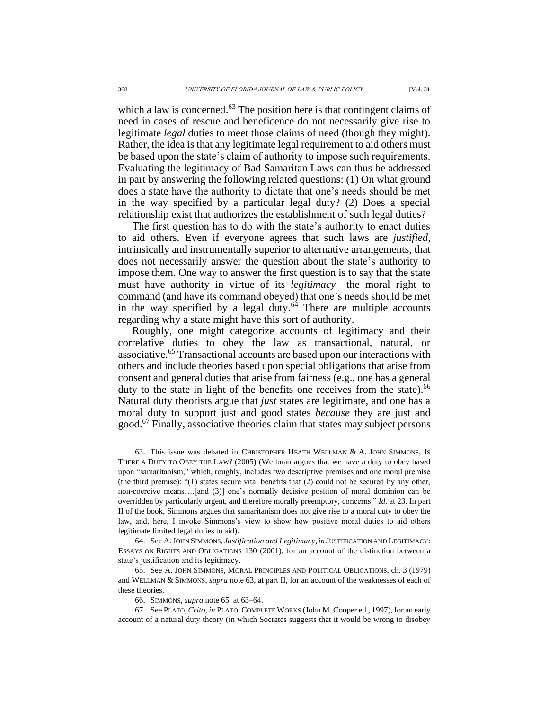which a law is concerned.<sup>63</sup> The position here is that contingent claims of need in cases of rescue and beneficence do not necessarily give rise to legitimate *legal* duties to meet those claims of need (though they might). Rather, the idea is that any legitimate legal requirement to aid others must be based upon the state's claim of authority to impose such requirements. Evaluating the legitimacy of Bad Samaritan Laws can thus be addressed in part by answering the following related questions: (1) On what ground does a state have the authority to dictate that one's needs should be met in the way specified by a particular legal duty? (2) Does a special relationship exist that authorizes the establishment of such legal duties?

The first question has to do with the state's authority to enact duties to aid others. Even if everyone agrees that such laws are *justified*, intrinsically and instrumentally superior to alternative arrangements, that does not necessarily answer the question about the state's authority to impose them. One way to answer the first question is to say that the state must have authority in virtue of its *legitimacy*—the moral right to command (and have its command obeyed) that one's needs should be met in the way specified by a legal duty. $64$  There are multiple accounts regarding why a state might have this sort of authority.

Roughly, one might categorize accounts of legitimacy and their correlative duties to obey the law as transactional, natural, or associative.<sup>65</sup> Transactional accounts are based upon our interactions with others and include theories based upon special obligations that arise from consent and general duties that arise from fairness (e.g., one has a general duty to the state in light of the benefits one receives from the state).<sup>66</sup> Natural duty theorists argue that *just* states are legitimate, and one has a moral duty to support just and good states *because* they are just and good.<sup>67</sup> Finally, associative theories claim that states may subject persons

<sup>63.</sup> This issue was debated in CHRISTOPHER HEATH WELLMAN & A. JOHN SIMMONS, IS THERE A DUTY TO OBEY THE LAW? (2005) (Wellman argues that we have a duty to obey based upon "samaritanism," which, roughly, includes two descriptive premises and one moral premise (the third premise): "(1) states secure vital benefits that (2) could not be secured by any other, non-coercive means….[and (3)] one's normally decisive position of moral dominion can be overridden by particularly urgent, and therefore morally preemptory, concerns." *Id.* at 23. In part II of the book, Simmons argues that samaritanism does not give rise to a moral duty to obey the law, and, here, I invoke Simmons's view to show how positive moral duties to aid others legitimate limited legal duties to aid).

<sup>64.</sup> See A.JOHN SIMMONS, *Justification and Legitimacy*, *in* JUSTIFICATION AND LEGITIMACY: ESSAYS ON RIGHTS AND OBLIGATIONS 130 (2001), for an account of the distinction between a state's justification and its legitimacy.

<sup>65.</sup> See A. JOHN SIMMONS, MORAL PRINCIPLES AND POLITICAL OBLIGATIONS, ch. 3 (1979) and WELLMAN & SIMMONS, *supra* note 63, at part II, for an account of the weaknesses of each of these theories.

<sup>66.</sup> SIMMONS, *supra* note 65, at 63–64.

<sup>67.</sup> See PLATO,*Crito*, *in* PLATO:COMPLETE WORKS (John M. Cooper ed., 1997), for an early account of a natural duty theory (in which Socrates suggests that it would be wrong to disobey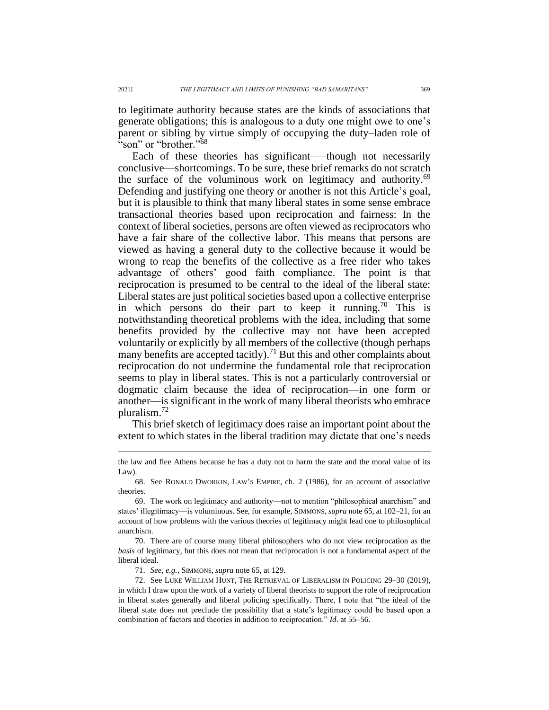to legitimate authority because states are the kinds of associations that generate obligations; this is analogous to a duty one might owe to one's parent or sibling by virtue simply of occupying the duty–laden role of "son" or "brother."<sup>68</sup>

Each of these theories has significant—though not necessarily conclusive—shortcomings. To be sure, these brief remarks do not scratch the surface of the voluminous work on legitimacy and authority.<sup>69</sup> Defending and justifying one theory or another is not this Article's goal, but it is plausible to think that many liberal states in some sense embrace transactional theories based upon reciprocation and fairness: In the context of liberal societies, persons are often viewed as reciprocators who have a fair share of the collective labor. This means that persons are viewed as having a general duty to the collective because it would be wrong to reap the benefits of the collective as a free rider who takes advantage of others' good faith compliance. The point is that reciprocation is presumed to be central to the ideal of the liberal state: Liberal states are just political societies based upon a collective enterprise in which persons do their part to keep it running.<sup>70</sup> This is notwithstanding theoretical problems with the idea, including that some benefits provided by the collective may not have been accepted voluntarily or explicitly by all members of the collective (though perhaps many benefits are accepted tacitly).<sup>71</sup> But this and other complaints about reciprocation do not undermine the fundamental role that reciprocation seems to play in liberal states. This is not a particularly controversial or dogmatic claim because the idea of reciprocation—in one form or another—is significant in the work of many liberal theorists who embrace pluralism. 72

This brief sketch of legitimacy does raise an important point about the extent to which states in the liberal tradition may dictate that one's needs

71. *See, e.g.*, SIMMONS, *supra* note 65, at 129.

the law and flee Athens because he has a duty not to harm the state and the moral value of its Law).

<sup>68.</sup> See RONALD DWORKIN, LAW'S EMPIRE, ch. 2 (1986), for an account of associative theories.

<sup>69.</sup> The work on legitimacy and authority—not to mention "philosophical anarchism" and states' illegitimacy—is voluminous. See, for example, SIMMONS, *supra* note 65, at 102–21, for an account of how problems with the various theories of legitimacy might lead one to philosophical anarchism.

<sup>70.</sup> There are of course many liberal philosophers who do not view reciprocation as the *basis* of legitimacy, but this does not mean that reciprocation is not a fundamental aspect of the liberal ideal.

<sup>72.</sup> See LUKE WILLIAM HUNT, THE RETRIEVAL OF LIBERALISM IN POLICING 29–30 (2019), in which I draw upon the work of a variety of liberal theorists to support the role of reciprocation in liberal states generally and liberal policing specifically. There, I note that "the ideal of the liberal state does not preclude the possibility that a state's legitimacy could be based upon a combination of factors and theories in addition to reciprocation." *Id*. at 55–56.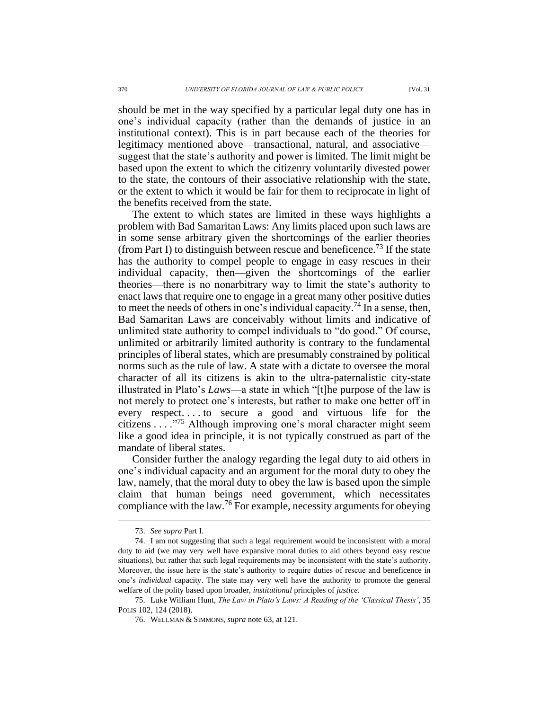should be met in the way specified by a particular legal duty one has in one's individual capacity (rather than the demands of justice in an institutional context). This is in part because each of the theories for legitimacy mentioned above—transactional, natural, and associative suggest that the state's authority and power is limited. The limit might be based upon the extent to which the citizenry voluntarily divested power to the state, the contours of their associative relationship with the state, or the extent to which it would be fair for them to reciprocate in light of the benefits received from the state.

The extent to which states are limited in these ways highlights a problem with Bad Samaritan Laws: Any limits placed upon such laws are in some sense arbitrary given the shortcomings of the earlier theories (from Part I) to distinguish between rescue and beneficence.<sup>73</sup> If the state has the authority to compel people to engage in easy rescues in their individual capacity, then—given the shortcomings of the earlier theories—there is no nonarbitrary way to limit the state's authority to enact laws that require one to engage in a great many other positive duties to meet the needs of others in one's individual capacity. <sup>74</sup> In a sense, then, Bad Samaritan Laws are conceivably without limits and indicative of unlimited state authority to compel individuals to "do good." Of course, unlimited or arbitrarily limited authority is contrary to the fundamental principles of liberal states, which are presumably constrained by political norms such as the rule of law. A state with a dictate to oversee the moral character of all its citizens is akin to the ultra-paternalistic city-state illustrated in Plato's *Laws*—a state in which "[t]he purpose of the law is not merely to protect one's interests, but rather to make one better off in every respect. . . . to secure a good and virtuous life for the citizens . . . ."<sup>75</sup> Although improving one's moral character might seem like a good idea in principle, it is not typically construed as part of the mandate of liberal states.

Consider further the analogy regarding the legal duty to aid others in one's individual capacity and an argument for the moral duty to obey the law, namely, that the moral duty to obey the law is based upon the simple claim that human beings need government, which necessitates compliance with the law.<sup>76</sup> For example, necessity arguments for obeying

<sup>73.</sup> *See supra* Part I.

<sup>74.</sup> I am not suggesting that such a legal requirement would be inconsistent with a moral duty to aid (we may very well have expansive moral duties to aid others beyond easy rescue situations), but rather that such legal requirements may be inconsistent with the state's authority. Moreover, the issue here is the state's authority to require duties of rescue and beneficence in one's *individual* capacity. The state may very well have the authority to promote the general welfare of the polity based upon broader, *institutional* principles of *justice*.

<sup>75.</sup> Luke William Hunt, *The Law in Plato's Laws: A Reading of the 'Classical Thesis'*, 35 POLIS 102, 124 (2018).

<sup>76.</sup> WELLMAN & SIMMONS, *supra* note 63, at 121.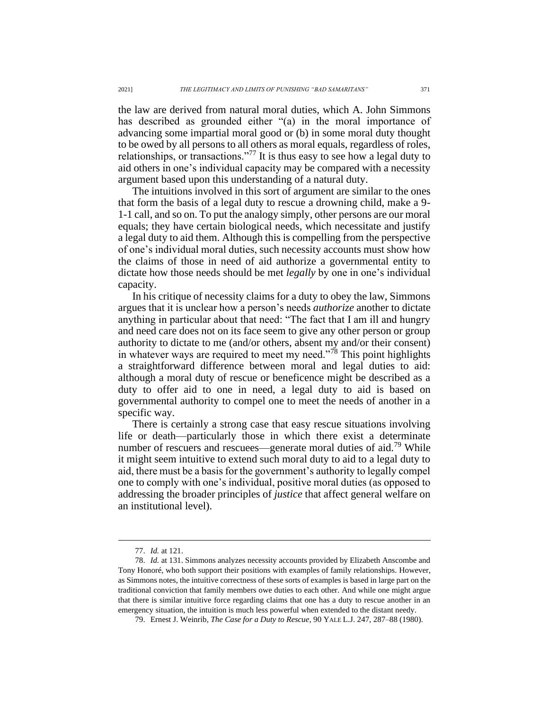the law are derived from natural moral duties, which A. John Simmons has described as grounded either "(a) in the moral importance of advancing some impartial moral good or (b) in some moral duty thought to be owed by all persons to all others as moral equals, regardless of roles, relationships, or transactions."<sup>77</sup> It is thus easy to see how a legal duty to aid others in one's individual capacity may be compared with a necessity argument based upon this understanding of a natural duty.

The intuitions involved in this sort of argument are similar to the ones that form the basis of a legal duty to rescue a drowning child, make a 9- 1-1 call, and so on. To put the analogy simply, other persons are our moral equals; they have certain biological needs, which necessitate and justify a legal duty to aid them. Although this is compelling from the perspective of one's individual moral duties, such necessity accounts must show how the claims of those in need of aid authorize a governmental entity to dictate how those needs should be met *legally* by one in one's individual capacity.

In his critique of necessity claims for a duty to obey the law, Simmons argues that it is unclear how a person's needs *authorize* another to dictate anything in particular about that need: "The fact that I am ill and hungry and need care does not on its face seem to give any other person or group authority to dictate to me (and/or others, absent my and/or their consent) in whatever ways are required to meet my need."<sup>78</sup> This point highlights a straightforward difference between moral and legal duties to aid: although a moral duty of rescue or beneficence might be described as a duty to offer aid to one in need, a legal duty to aid is based on governmental authority to compel one to meet the needs of another in a specific way.

There is certainly a strong case that easy rescue situations involving life or death—particularly those in which there exist a determinate number of rescuers and rescuees—generate moral duties of aid.<sup>79</sup> While it might seem intuitive to extend such moral duty to aid to a legal duty to aid, there must be a basis for the government's authority to legally compel one to comply with one's individual, positive moral duties (as opposed to addressing the broader principles of *justice* that affect general welfare on an institutional level).

<sup>77.</sup> *Id.* at 121.

<sup>78.</sup> *Id.* at 131. Simmons analyzes necessity accounts provided by Elizabeth Anscombe and Tony Honoré, who both support their positions with examples of family relationships. However, as Simmons notes, the intuitive correctness of these sorts of examples is based in large part on the traditional conviction that family members owe duties to each other. And while one might argue that there is similar intuitive force regarding claims that one has a duty to rescue another in an emergency situation, the intuition is much less powerful when extended to the distant needy.

<sup>79.</sup> Ernest J. Weinrib, *The Case for a Duty to Rescue*, 90 YALE L.J. 247, 287–88 (1980).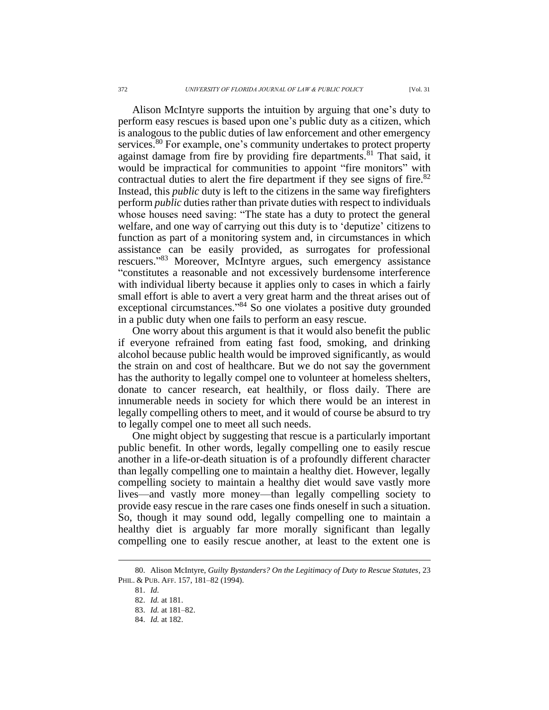Alison McIntyre supports the intuition by arguing that one's duty to perform easy rescues is based upon one's public duty as a citizen, which is analogous to the public duties of law enforcement and other emergency services.<sup>80</sup> For example, one's community undertakes to protect property against damage from fire by providing fire departments.<sup>81</sup> That said, it would be impractical for communities to appoint "fire monitors" with contractual duties to alert the fire department if they see signs of fire.<sup>82</sup> Instead, this *public* duty is left to the citizens in the same way firefighters perform *public* duties rather than private duties with respect to individuals whose houses need saving: "The state has a duty to protect the general welfare, and one way of carrying out this duty is to 'deputize' citizens to function as part of a monitoring system and, in circumstances in which assistance can be easily provided, as surrogates for professional rescuers." <sup>83</sup> Moreover, McIntyre argues, such emergency assistance "constitutes a reasonable and not excessively burdensome interference with individual liberty because it applies only to cases in which a fairly small effort is able to avert a very great harm and the threat arises out of exceptional circumstances."<sup>84</sup> So one violates a positive duty grounded in a public duty when one fails to perform an easy rescue.

One worry about this argument is that it would also benefit the public if everyone refrained from eating fast food, smoking, and drinking alcohol because public health would be improved significantly, as would the strain on and cost of healthcare. But we do not say the government has the authority to legally compel one to volunteer at homeless shelters, donate to cancer research, eat healthily, or floss daily. There are innumerable needs in society for which there would be an interest in legally compelling others to meet, and it would of course be absurd to try to legally compel one to meet all such needs.

One might object by suggesting that rescue is a particularly important public benefit. In other words, legally compelling one to easily rescue another in a life-or-death situation is of a profoundly different character than legally compelling one to maintain a healthy diet. However, legally compelling society to maintain a healthy diet would save vastly more lives—and vastly more money—than legally compelling society to provide easy rescue in the rare cases one finds oneself in such a situation. So, though it may sound odd, legally compelling one to maintain a healthy diet is arguably far more morally significant than legally compelling one to easily rescue another, at least to the extent one is

<sup>80.</sup> Alison McIntyre, *Guilty Bystanders? On the Legitimacy of Duty to Rescue Statutes*, 23 PHIL. & PUB. AFF. 157, 181–82 (1994).

<sup>81.</sup> *Id.*

<sup>82.</sup> *Id.* at 181.

<sup>83.</sup> *Id.* at 181–82.

<sup>84.</sup> *Id.* at 182.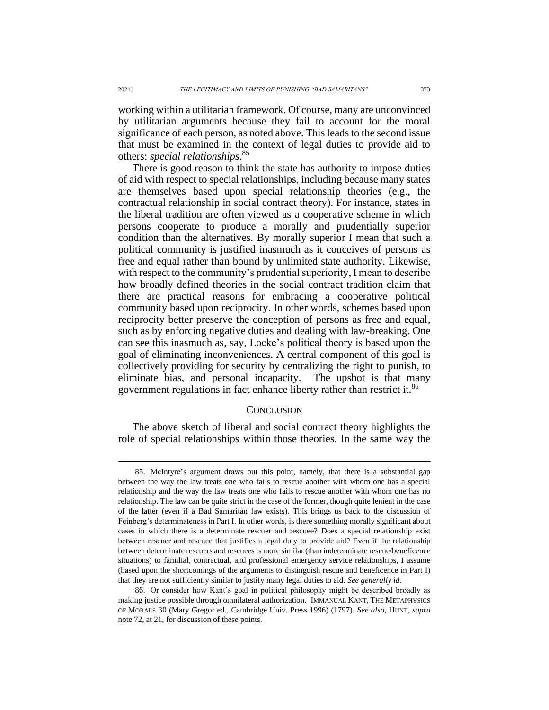working within a utilitarian framework. Of course, many are unconvinced by utilitarian arguments because they fail to account for the moral significance of each person, as noted above. This leads to the second issue that must be examined in the context of legal duties to provide aid to others: *special relationships*. 85

There is good reason to think the state has authority to impose duties of aid with respect to special relationships, including because many states are themselves based upon special relationship theories (e.g., the contractual relationship in social contract theory). For instance, states in the liberal tradition are often viewed as a cooperative scheme in which persons cooperate to produce a morally and prudentially superior condition than the alternatives. By morally superior I mean that such a political community is justified inasmuch as it conceives of persons as free and equal rather than bound by unlimited state authority. Likewise, with respect to the community's prudential superiority, I mean to describe how broadly defined theories in the social contract tradition claim that there are practical reasons for embracing a cooperative political community based upon reciprocity. In other words, schemes based upon reciprocity better preserve the conception of persons as free and equal, such as by enforcing negative duties and dealing with law-breaking. One can see this inasmuch as, say, Locke's political theory is based upon the goal of eliminating inconveniences. A central component of this goal is collectively providing for security by centralizing the right to punish, to eliminate bias, and personal incapacity. The upshot is that many government regulations in fact enhance liberty rather than restrict it.<sup>86</sup>

# **CONCLUSION**

The above sketch of liberal and social contract theory highlights the role of special relationships within those theories. In the same way the

<sup>85.</sup> McIntyre's argument draws out this point, namely, that there is a substantial gap between the way the law treats one who fails to rescue another with whom one has a special relationship and the way the law treats one who fails to rescue another with whom one has no relationship. The law can be quite strict in the case of the former, though quite lenient in the case of the latter (even if a Bad Samaritan law exists). This brings us back to the discussion of Feinberg's determinateness in Part I. In other words, is there something morally significant about cases in which there is a determinate rescuer and rescuee? Does a special relationship exist between rescuer and rescuee that justifies a legal duty to provide aid? Even if the relationship between determinate rescuers and rescuees is more similar (than indeterminate rescue/beneficence situations) to familial, contractual, and professional emergency service relationships, I assume (based upon the shortcomings of the arguments to distinguish rescue and beneficence in Part I) that they are not sufficiently similar to justify many legal duties to aid. *See generally id.*

<sup>86.</sup> Or consider how Kant's goal in political philosophy might be described broadly as making justice possible through omnilateral authorization. IMMANUAL KANT, THE METAPHYSICS OF MORALS 30 (Mary Gregor ed., Cambridge Univ. Press 1996) (1797). *See also*, HUNT, *supra* note 72, at 21, for discussion of these points.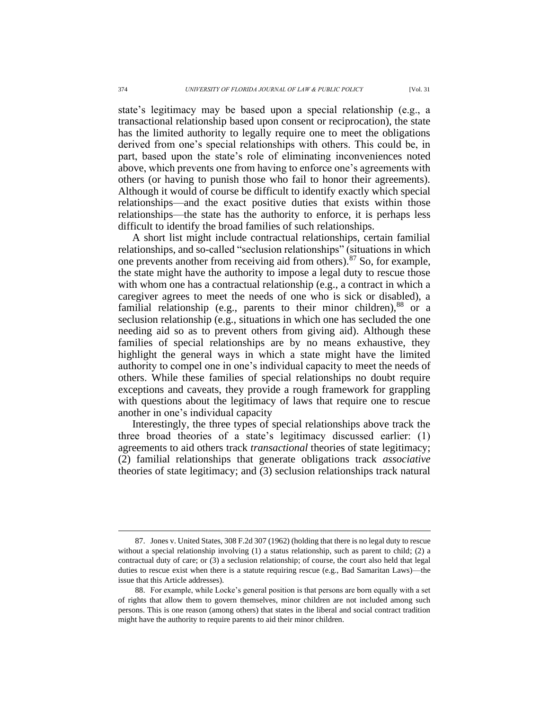state's legitimacy may be based upon a special relationship (e.g., a transactional relationship based upon consent or reciprocation), the state has the limited authority to legally require one to meet the obligations derived from one's special relationships with others. This could be, in part, based upon the state's role of eliminating inconveniences noted above, which prevents one from having to enforce one's agreements with others (or having to punish those who fail to honor their agreements). Although it would of course be difficult to identify exactly which special relationships—and the exact positive duties that exists within those relationships—the state has the authority to enforce, it is perhaps less difficult to identify the broad families of such relationships.

A short list might include contractual relationships, certain familial relationships, and so-called "seclusion relationships" (situations in which one prevents another from receiving aid from others).<sup>87</sup> So, for example, the state might have the authority to impose a legal duty to rescue those with whom one has a contractual relationship (e.g., a contract in which a caregiver agrees to meet the needs of one who is sick or disabled), a familial relationship (e.g., parents to their minor children), $88$  or a seclusion relationship (e.g., situations in which one has secluded the one needing aid so as to prevent others from giving aid). Although these families of special relationships are by no means exhaustive, they highlight the general ways in which a state might have the limited authority to compel one in one's individual capacity to meet the needs of others. While these families of special relationships no doubt require exceptions and caveats, they provide a rough framework for grappling with questions about the legitimacy of laws that require one to rescue another in one's individual capacity

Interestingly, the three types of special relationships above track the three broad theories of a state's legitimacy discussed earlier: (1) agreements to aid others track *transactional* theories of state legitimacy; (2) familial relationships that generate obligations track *associative* theories of state legitimacy; and (3) seclusion relationships track natural

<sup>87.</sup> Jones v. United States, 308 F.2d 307 (1962) (holding that there is no legal duty to rescue without a special relationship involving (1) a status relationship, such as parent to child; (2) a contractual duty of care; or (3) a seclusion relationship; of course, the court also held that legal duties to rescue exist when there is a statute requiring rescue (e.g., Bad Samaritan Laws)—the issue that this Article addresses).

<sup>88.</sup> For example, while Locke's general position is that persons are born equally with a set of rights that allow them to govern themselves, minor children are not included among such persons. This is one reason (among others) that states in the liberal and social contract tradition might have the authority to require parents to aid their minor children.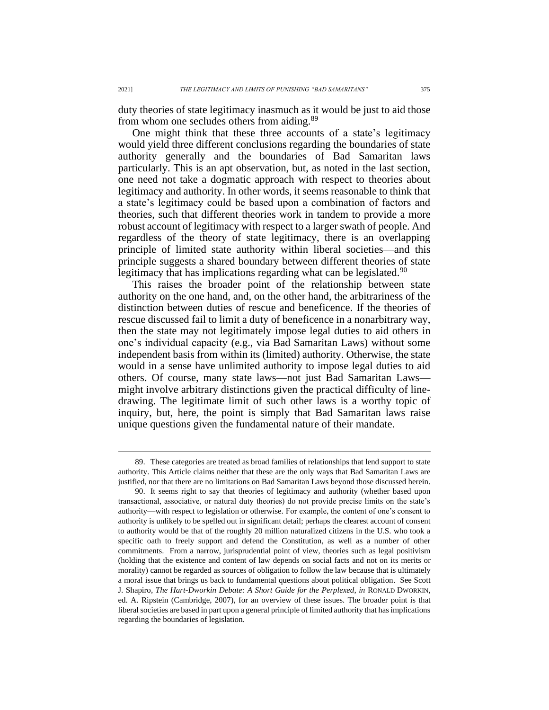duty theories of state legitimacy inasmuch as it would be just to aid those from whom one secludes others from aiding.<sup>89</sup>

One might think that these three accounts of a state's legitimacy would yield three different conclusions regarding the boundaries of state authority generally and the boundaries of Bad Samaritan laws particularly. This is an apt observation, but, as noted in the last section, one need not take a dogmatic approach with respect to theories about legitimacy and authority. In other words, it seems reasonable to think that a state's legitimacy could be based upon a combination of factors and theories, such that different theories work in tandem to provide a more robust account of legitimacy with respect to a larger swath of people. And regardless of the theory of state legitimacy, there is an overlapping principle of limited state authority within liberal societies—and this principle suggests a shared boundary between different theories of state legitimacy that has implications regarding what can be legislated.<sup>90</sup>

This raises the broader point of the relationship between state authority on the one hand, and, on the other hand, the arbitrariness of the distinction between duties of rescue and beneficence. If the theories of rescue discussed fail to limit a duty of beneficence in a nonarbitrary way, then the state may not legitimately impose legal duties to aid others in one's individual capacity (e.g., via Bad Samaritan Laws) without some independent basis from within its (limited) authority. Otherwise, the state would in a sense have unlimited authority to impose legal duties to aid others. Of course, many state laws—not just Bad Samaritan Laws might involve arbitrary distinctions given the practical difficulty of linedrawing. The legitimate limit of such other laws is a worthy topic of inquiry, but, here, the point is simply that Bad Samaritan laws raise unique questions given the fundamental nature of their mandate.

<sup>89.</sup> These categories are treated as broad families of relationships that lend support to state authority. This Article claims neither that these are the only ways that Bad Samaritan Laws are justified, nor that there are no limitations on Bad Samaritan Laws beyond those discussed herein.

<sup>90.</sup> It seems right to say that theories of legitimacy and authority (whether based upon transactional, associative, or natural duty theories) do not provide precise limits on the state's authority—with respect to legislation or otherwise. For example, the content of one's consent to authority is unlikely to be spelled out in significant detail; perhaps the clearest account of consent to authority would be that of the roughly 20 million naturalized citizens in the U.S. who took a specific oath to freely support and defend the Constitution, as well as a number of other commitments. From a narrow, jurisprudential point of view, theories such as legal positivism (holding that the existence and content of law depends on social facts and not on its merits or morality) cannot be regarded as sources of obligation to follow the law because that is ultimately a moral issue that brings us back to fundamental questions about political obligation. See Scott J. Shapiro, *The Hart-Dworkin Debate: A Short Guide for the Perplexed*, *in* RONALD DWORKIN, ed. A. Ripstein (Cambridge, 2007), for an overview of these issues. The broader point is that liberal societies are based in part upon a general principle of limited authority that has implications regarding the boundaries of legislation.